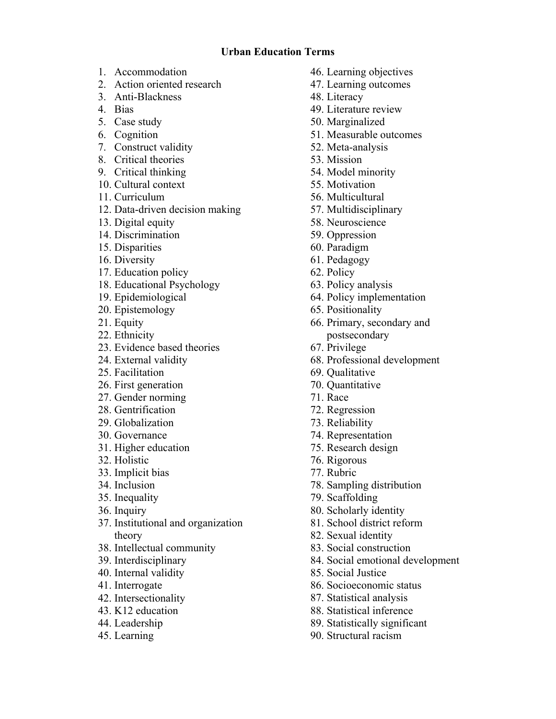## **Urban Education Terms**

- 1. Accommodation
- 2. Action oriented research
- 3. Anti-Blackness
- 4. Bias
- 5. Case study
- 6. Cognition
- 7. Construct validity
- 8. Critical theories
- 9. Critical thinking
- 10. Cultural context
- 11. Curriculum
- 12. Data-driven decision making
- 13. Digital equity
- 14. Discrimination
- 15. Disparities
- 16. Diversity
- 17. Education policy
- 18. Educational Psychology
- 19. Epidemiological
- 20. Epistemology
- 21. Equity
- 22. Ethnicity
- 23. Evidence based theories
- 24. External validity
- 25. Facilitation
- 26. First generation
- 27. Gender norming
- 28. Gentrification
- 29. Globalization
- 30. Governance
- 31. Higher education
- 32. Holistic
- 33. Implicit bias
- 34. Inclusion
- 35. Inequality
- 36. Inquiry
- 37. Institutional and organization theory
- 38. Intellectual community
- 39. Interdisciplinary
- 40. Internal validity
- 41. Interrogate
- 42. Intersectionality
- 43. K12 education
- 44. Leadership
- 45. Learning
- 46. Learning objectives
- 47. Learning outcomes
- 48. Literacy
- 49. Literature review
- 50. Marginalized
- 51. Measurable outcomes
- 52. Meta-analysis
- 53. Mission
- 54. Model minority
- 55. Motivation
- 56. Multicultural
- 57. Multidisciplinary
- 58. Neuroscience
- 59. Oppression
- 60. Paradigm
- 61. Pedagogy
- 62. Policy
- 63. Policy analysis
- 64. Policy implementation
- 65. Positionality
- 66. Primary, secondary and postsecondary
- 67. Privilege
- 68. Professional development
- 69. Qualitative
- 70. Quantitative
- 71. Race
- 72. Regression
- 73. Reliability
- 74. Representation
- 75. Research design
- 76. Rigorous
- 77. Rubric
- 78. Sampling distribution
- 79. Scaffolding
- 80. Scholarly identity
- 81. School district reform
- 82. Sexual identity
- 83. Social construction
- 84. Social emotional development
- 85. Social Justice
- 86. Socioeconomic status
- 87. Statistical analysis
- 88. Statistical inference
- 89. Statistically significant
- 90. Structural racism